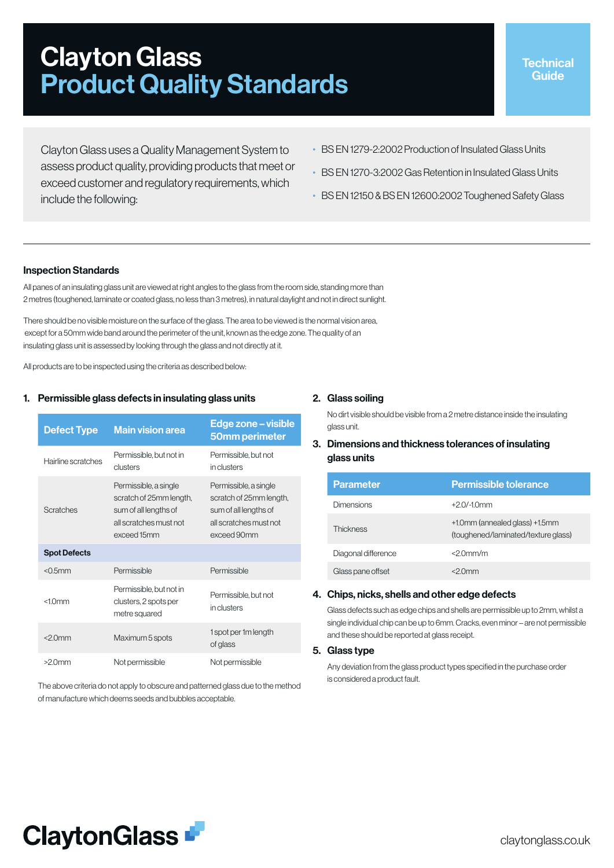# Clayton Glass Product Quality Standards

Clayton Glass uses a Quality Management System to assess product quality, providing products that meet or exceed customer and regulatory requirements, which include the following:

- BS EN 1279-2:2002 Production of Insulated Glass Units
- BS EN 1270-3:2002 Gas Retention in Insulated Glass Units
- BS EN 12150 & BS EN 12600:2002 Toughened Safety Glass

## Inspection Standards

All panes of an insulating glass unit are viewed at right angles to the glass from the room side, standing more than 2 metres (toughened, laminate or coated glass, no less than 3 metres), in natural daylight and not in direct sunlight.

There should be no visible moisture on the surface of the glass. The area to be viewed is the normal vision area, except for a 50mm wide band around the perimeter of the unit, known as the edge zone. The quality of an insulating glass unit is assessed by looking through the glass and not directly at it.

All products are to be inspected using the criteria as described below:

#### 1. Permissible glass defects in insulating glass units

| <b>Defect Type</b>  | <b>Main vision area</b>                                                                                            | Edge zone - visible<br>50mm perimeter                                                                              |
|---------------------|--------------------------------------------------------------------------------------------------------------------|--------------------------------------------------------------------------------------------------------------------|
| Hairline scratches  | Permissible, but not in<br>clusters                                                                                | Permissible, but not<br>in clusters                                                                                |
| Scratches           | Permissible, a single<br>scratch of 25mm length,<br>sum of all lengths of<br>all scratches must not<br>exceed 15mm | Permissible, a single<br>scratch of 25mm length,<br>sum of all lengths of<br>all scratches must not<br>exceed 90mm |
| <b>Spot Defects</b> |                                                                                                                    |                                                                                                                    |
| $<$ 0.5 $mm$        | Permissible                                                                                                        | Permissible                                                                                                        |
| $<10$ mm            | Permissible, but not in<br>clusters, 2 spots per<br>metre squared                                                  | Permissible, but not<br>in clusters                                                                                |
| $<$ 20 $mm$         | Maximum 5 spots                                                                                                    | 1 spot per 1m length<br>of glass                                                                                   |
| $>20$ mm            | Not permissible                                                                                                    | Not permissible                                                                                                    |

The above criteria do not apply to obscure and patterned glass due to the method of manufacture which deems seeds and bubbles acceptable.

#### 2. Glass soiling

No dirt visible should be visible from a 2 metre distance inside the insulating glass unit.

# 3. Dimensions and thickness tolerances of insulating glass units

| <b>Parameter</b>    | <b>Permissible tolerance</b>                                          |
|---------------------|-----------------------------------------------------------------------|
| <b>Dimensions</b>   | $+20/10$ mm                                                           |
| <b>Thickness</b>    | +1.0mm (annealed glass) +1.5mm<br>(toughened/laminated/texture glass) |
| Diagonal difference | $<2.0$ mm/m                                                           |
| Glass pane offset   | ≀∩mm                                                                  |

#### 4. Chips, nicks, shells and other edge defects

Glass defects such as edge chips and shells are permissible up to 2mm, whilst a single individual chip can be up to 6mm. Cracks, even minor – are not permissible and these should be reported at glass receipt.

#### 5. Glass type

Any deviation from the glass product types specified in the purchase order is considered a product fault.